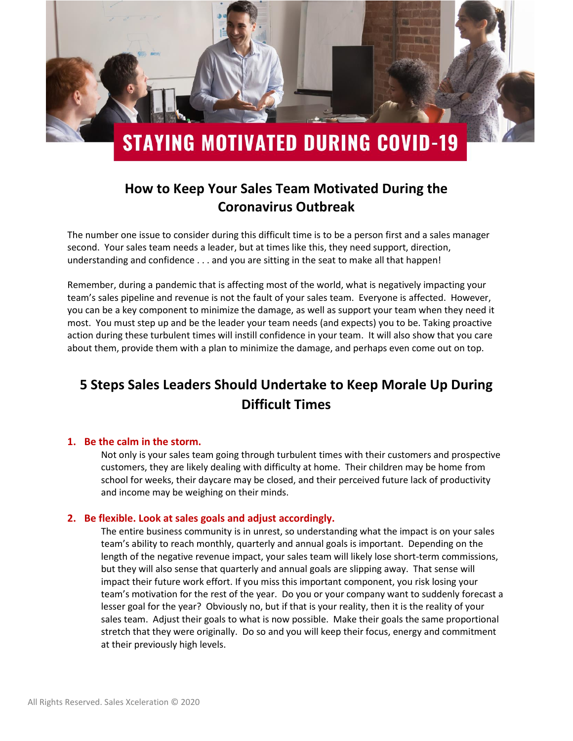

## **How to Keep Your Sales Team Motivated During the Coronavirus Outbreak**

The number one issue to consider during this difficult time is to be a person first and a sales manager second. Your sales team needs a leader, but at times like this, they need support, direction, understanding and confidence . . . and you are sitting in the seat to make all that happen!

Remember, during a pandemic that is affecting most of the world, what is negatively impacting your team's sales pipeline and revenue is not the fault of your sales team. Everyone is affected. However, you can be a key component to minimize the damage, as well as support your team when they need it most. You must step up and be the leader your team needs (and expects) you to be. Taking proactive action during these turbulent times will instill confidence in your team. It will also show that you care about them, provide them with a plan to minimize the damage, and perhaps even come out on top.

# **5 Steps Sales Leaders Should Undertake to Keep Morale Up During Difficult Times**

#### **1. Be the calm in the storm.**

Not only is your sales team going through turbulent times with their customers and prospective customers, they are likely dealing with difficulty at home. Their children may be home from school for weeks, their daycare may be closed, and their perceived future lack of productivity and income may be weighing on their minds.

#### **2. Be flexible. Look at sales goals and adjust accordingly.**

The entire business community is in unrest, so understanding what the impact is on your sales team's ability to reach monthly, quarterly and annual goals is important. Depending on the length of the negative revenue impact, your sales team will likely lose short-term commissions, but they will also sense that quarterly and annual goals are slipping away. That sense will impact their future work effort. If you miss this important component, you risk losing your team's motivation for the rest of the year. Do you or your company want to suddenly forecast a lesser goal for the year? Obviously no, but if that is your reality, then it is the reality of your sales team. Adjust their goals to what is now possible. Make their goals the same proportional stretch that they were originally. Do so and you will keep their focus, energy and commitment at their previously high levels.